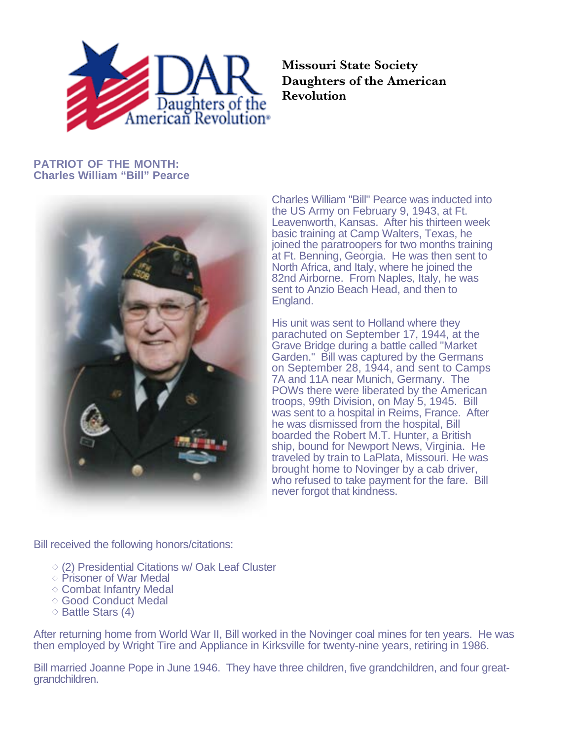

**Missouri State Society Daughters of the American Revolution**

## **PATRIOT OF THE MONTH: Charles William "Bill" Pearce**



Charles William "Bill" Pearce was inducted into the US Army on February 9, 1943, at Ft. Leavenworth, Kansas. After his thirteen week basic training at Camp Walters, Texas, he joined the paratroopers for two months training at Ft. Benning, Georgia. He was then sent to North Africa, and Italy, where he joined the 82nd Airborne. From Naples, Italy, he was sent to Anzio Beach Head, and then to England.

His unit was sent to Holland where they parachuted on September 17, 1944, at the Grave Bridge during a battle called "Market Garden." Bill was captured by the Germans on September 28, 1944, and sent to Camps 7A and 11A near Munich, Germany. The POWs there were liberated by the American troops, 99th Division, on May 5, 1945. Bill was sent to a hospital in Reims, France. After he was dismissed from the hospital, Bill boarded the Robert M.T. Hunter, a British ship, bound for Newport News, Virginia. He traveled by train to LaPlata, Missouri. He was brought home to Novinger by a cab driver, who refused to take payment for the fare. Bill never forgot that kindness.

Bill received the following honors/citations:

- $\Diamond$  (2) Presidential Citations w/ Oak Leaf Cluster
- $\diamond$  Prisoner of War Medal
- $\diamond$  Combat Infantry Medal
- ◇ Good Conduct Medal
- $\diamond$  Battle Stars (4)

After returning home from World War II, Bill worked in the Novinger coal mines for ten years. He was then employed by Wright Tire and Appliance in Kirksville for twenty-nine years, retiring in 1986.

Bill married Joanne Pope in June 1946. They have three children, five grandchildren, and four greatgrandchildren.